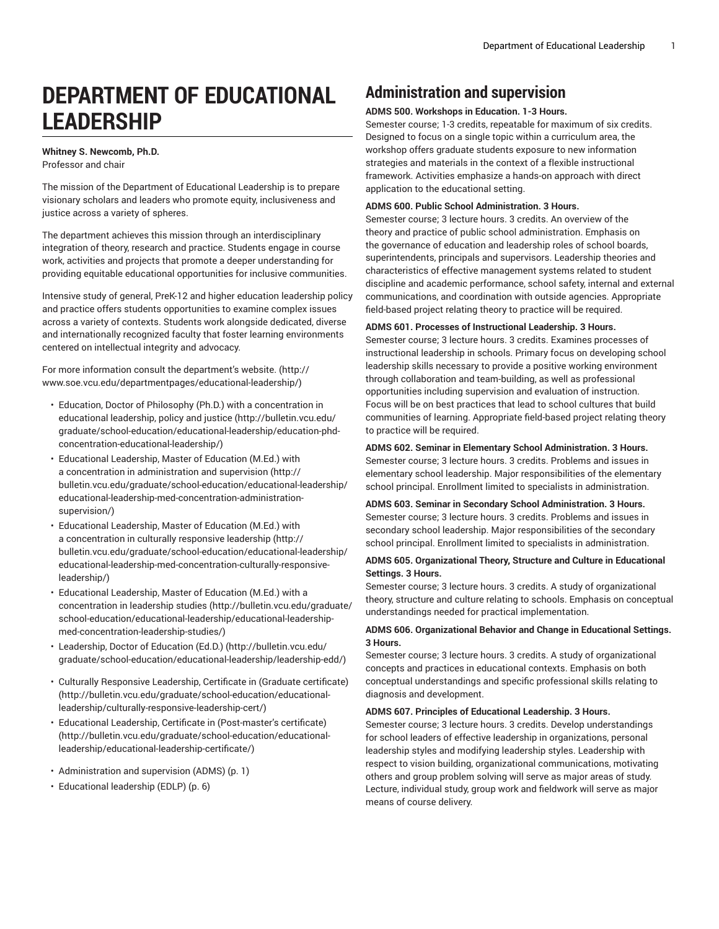# **DEPARTMENT OF EDUCATIONAL LEADERSHIP**

# **Whitney S. Newcomb, Ph.D.**

Professor and chair

The mission of the Department of Educational Leadership is to prepare visionary scholars and leaders who promote equity, inclusiveness and justice across a variety of spheres.

The department achieves this mission through an interdisciplinary integration of theory, research and practice. Students engage in course work, activities and projects that promote a deeper understanding for providing equitable educational opportunities for inclusive communities.

Intensive study of general, PreK-12 and higher education leadership policy and practice offers students opportunities to examine complex issues across a variety of contexts. Students work alongside dedicated, diverse and internationally recognized faculty that foster learning environments centered on intellectual integrity and advocacy.

For more information consult the [department's](http://www.soe.vcu.edu/departmentpages/educational-leadership/) website. [\(http://](http://www.soe.vcu.edu/departmentpages/educational-leadership/) [www.soe.vcu.edu/departmentpages/educational-leadership/](http://www.soe.vcu.edu/departmentpages/educational-leadership/))

- Education, Doctor of Philosophy (Ph.D.) with a [concentration](http://bulletin.vcu.edu/graduate/school-education/educational-leadership/education-phd-concentration-educational-leadership/) in [educational leadership, policy and justice](http://bulletin.vcu.edu/graduate/school-education/educational-leadership/education-phd-concentration-educational-leadership/) ([http://bulletin.vcu.edu/](http://bulletin.vcu.edu/graduate/school-education/educational-leadership/education-phd-concentration-educational-leadership/) [graduate/school-education/educational-leadership/education-phd](http://bulletin.vcu.edu/graduate/school-education/educational-leadership/education-phd-concentration-educational-leadership/)[concentration-educational-leadership/](http://bulletin.vcu.edu/graduate/school-education/educational-leadership/education-phd-concentration-educational-leadership/))
- [Educational](http://bulletin.vcu.edu/graduate/school-education/educational-leadership/educational-leadership-med-concentration-administration-supervision/) Leadership, Master of Education (M.Ed.) with a concentration in [administration](http://bulletin.vcu.edu/graduate/school-education/educational-leadership/educational-leadership-med-concentration-administration-supervision/) and supervision [\(http://](http://bulletin.vcu.edu/graduate/school-education/educational-leadership/educational-leadership-med-concentration-administration-supervision/) [bulletin.vcu.edu/graduate/school-education/educational-leadership/](http://bulletin.vcu.edu/graduate/school-education/educational-leadership/educational-leadership-med-concentration-administration-supervision/) [educational-leadership-med-concentration-administration](http://bulletin.vcu.edu/graduate/school-education/educational-leadership/educational-leadership-med-concentration-administration-supervision/)[supervision/\)](http://bulletin.vcu.edu/graduate/school-education/educational-leadership/educational-leadership-med-concentration-administration-supervision/)
- [Educational](http://bulletin.vcu.edu/graduate/school-education/educational-leadership/educational-leadership-med-concentration-culturally-responsive-leadership/) Leadership, Master of Education (M.Ed.) with a [concentration](http://bulletin.vcu.edu/graduate/school-education/educational-leadership/educational-leadership-med-concentration-culturally-responsive-leadership/) in culturally responsive leadership [\(http://](http://bulletin.vcu.edu/graduate/school-education/educational-leadership/educational-leadership-med-concentration-culturally-responsive-leadership/) [bulletin.vcu.edu/graduate/school-education/educational-leadership/](http://bulletin.vcu.edu/graduate/school-education/educational-leadership/educational-leadership-med-concentration-culturally-responsive-leadership/) [educational-leadership-med-concentration-culturally-responsive](http://bulletin.vcu.edu/graduate/school-education/educational-leadership/educational-leadership-med-concentration-culturally-responsive-leadership/)[leadership/\)](http://bulletin.vcu.edu/graduate/school-education/educational-leadership/educational-leadership-med-concentration-culturally-responsive-leadership/)
- [Educational](http://bulletin.vcu.edu/graduate/school-education/educational-leadership/educational-leadership-med-concentration-leadership-studies/) Leadership, Master of Education (M.Ed.) with a [concentration in leadership studies](http://bulletin.vcu.edu/graduate/school-education/educational-leadership/educational-leadership-med-concentration-leadership-studies/) [\(http://bulletin.vcu.edu/graduate/](http://bulletin.vcu.edu/graduate/school-education/educational-leadership/educational-leadership-med-concentration-leadership-studies/) [school-education/educational-leadership/educational-leadership](http://bulletin.vcu.edu/graduate/school-education/educational-leadership/educational-leadership-med-concentration-leadership-studies/)[med-concentration-leadership-studies/\)](http://bulletin.vcu.edu/graduate/school-education/educational-leadership/educational-leadership-med-concentration-leadership-studies/)
- [Leadership,](http://bulletin.vcu.edu/graduate/school-education/educational-leadership/leadership-edd/) Doctor of Education (Ed.D.) ([http://bulletin.vcu.edu/](http://bulletin.vcu.edu/graduate/school-education/educational-leadership/leadership-edd/) [graduate/school-education/educational-leadership/leadership-edd/](http://bulletin.vcu.edu/graduate/school-education/educational-leadership/leadership-edd/))
- Culturally [Responsive](http://bulletin.vcu.edu/graduate/school-education/educational-leadership/culturally-responsive-leadership-cert/) Leadership, Certificate in (Graduate certificate) ([http://bulletin.vcu.edu/graduate/school-education/educational](http://bulletin.vcu.edu/graduate/school-education/educational-leadership/culturally-responsive-leadership-cert/)[leadership/culturally-responsive-leadership-cert/](http://bulletin.vcu.edu/graduate/school-education/educational-leadership/culturally-responsive-leadership-cert/))
- Educational Leadership, Certificate in [\(Post-master's](http://bulletin.vcu.edu/graduate/school-education/educational-leadership/educational-leadership-certificate/) certificate) ([http://bulletin.vcu.edu/graduate/school-education/educational](http://bulletin.vcu.edu/graduate/school-education/educational-leadership/educational-leadership-certificate/)[leadership/educational-leadership-certificate/](http://bulletin.vcu.edu/graduate/school-education/educational-leadership/educational-leadership-certificate/))
- [Administration](#page-0-0) and supervision (ADMS) ([p. 1\)](#page-0-0)
- [Educational](#page-5-0) leadership (EDLP) [\(p. 6](#page-5-0))

# <span id="page-0-0"></span>**Administration and supervision**

# **ADMS 500. Workshops in Education. 1-3 Hours.**

Semester course; 1-3 credits, repeatable for maximum of six credits. Designed to focus on a single topic within a curriculum area, the workshop offers graduate students exposure to new information strategies and materials in the context of a flexible instructional framework. Activities emphasize a hands-on approach with direct application to the educational setting.

# **ADMS 600. Public School Administration. 3 Hours.**

Semester course; 3 lecture hours. 3 credits. An overview of the theory and practice of public school administration. Emphasis on the governance of education and leadership roles of school boards, superintendents, principals and supervisors. Leadership theories and characteristics of effective management systems related to student discipline and academic performance, school safety, internal and external communications, and coordination with outside agencies. Appropriate field-based project relating theory to practice will be required.

# **ADMS 601. Processes of Instructional Leadership. 3 Hours.**

Semester course; 3 lecture hours. 3 credits. Examines processes of instructional leadership in schools. Primary focus on developing school leadership skills necessary to provide a positive working environment through collaboration and team-building, as well as professional opportunities including supervision and evaluation of instruction. Focus will be on best practices that lead to school cultures that build communities of learning. Appropriate field-based project relating theory to practice will be required.

# **ADMS 602. Seminar in Elementary School Administration. 3 Hours.** Semester course; 3 lecture hours. 3 credits. Problems and issues in

elementary school leadership. Major responsibilities of the elementary school principal. Enrollment limited to specialists in administration.

## **ADMS 603. Seminar in Secondary School Administration. 3 Hours.**

Semester course; 3 lecture hours. 3 credits. Problems and issues in secondary school leadership. Major responsibilities of the secondary school principal. Enrollment limited to specialists in administration.

# **ADMS 605. Organizational Theory, Structure and Culture in Educational Settings. 3 Hours.**

Semester course; 3 lecture hours. 3 credits. A study of organizational theory, structure and culture relating to schools. Emphasis on conceptual understandings needed for practical implementation.

# **ADMS 606. Organizational Behavior and Change in Educational Settings. 3 Hours.**

Semester course; 3 lecture hours. 3 credits. A study of organizational concepts and practices in educational contexts. Emphasis on both conceptual understandings and specific professional skills relating to diagnosis and development.

#### **ADMS 607. Principles of Educational Leadership. 3 Hours.**

Semester course; 3 lecture hours. 3 credits. Develop understandings for school leaders of effective leadership in organizations, personal leadership styles and modifying leadership styles. Leadership with respect to vision building, organizational communications, motivating others and group problem solving will serve as major areas of study. Lecture, individual study, group work and fieldwork will serve as major means of course delivery.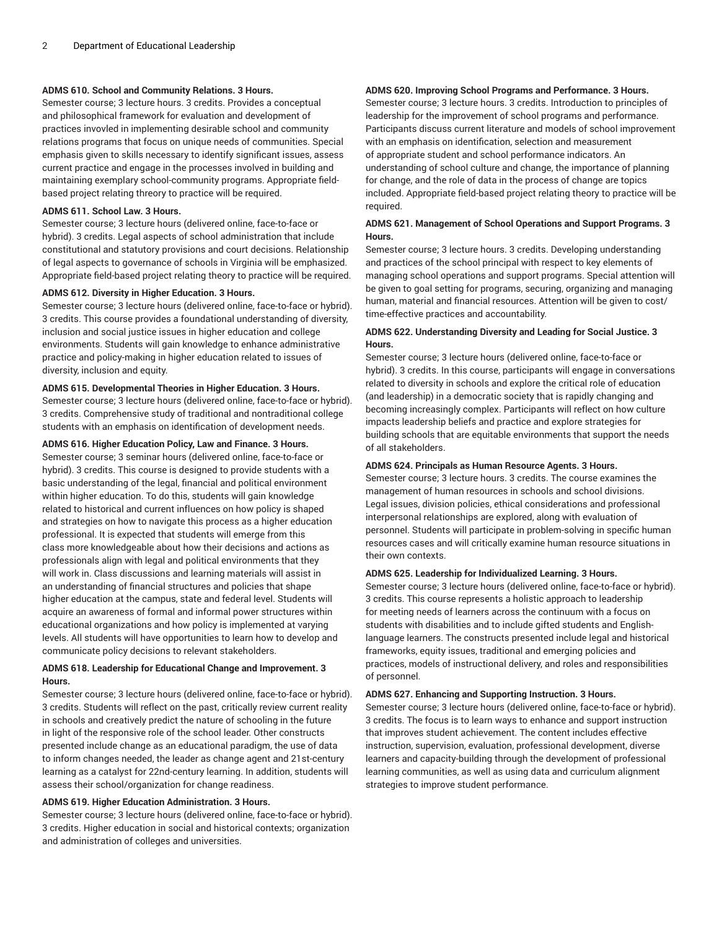## **ADMS 610. School and Community Relations. 3 Hours.**

Semester course; 3 lecture hours. 3 credits. Provides a conceptual and philosophical framework for evaluation and development of practices invovled in implementing desirable school and community relations programs that focus on unique needs of communities. Special emphasis given to skills necessary to identify significant issues, assess current practice and engage in the processes involved in building and maintaining exemplary school-community programs. Appropriate fieldbased project relating threory to practice will be required.

# **ADMS 611. School Law. 3 Hours.**

Semester course; 3 lecture hours (delivered online, face-to-face or hybrid). 3 credits. Legal aspects of school administration that include constitutional and statutory provisions and court decisions. Relationship of legal aspects to governance of schools in Virginia will be emphasized. Appropriate field-based project relating theory to practice will be required.

#### **ADMS 612. Diversity in Higher Education. 3 Hours.**

Semester course; 3 lecture hours (delivered online, face-to-face or hybrid). 3 credits. This course provides a foundational understanding of diversity, inclusion and social justice issues in higher education and college environments. Students will gain knowledge to enhance administrative practice and policy-making in higher education related to issues of diversity, inclusion and equity.

#### **ADMS 615. Developmental Theories in Higher Education. 3 Hours.**

Semester course; 3 lecture hours (delivered online, face-to-face or hybrid). 3 credits. Comprehensive study of traditional and nontraditional college students with an emphasis on identification of development needs.

#### **ADMS 616. Higher Education Policy, Law and Finance. 3 Hours.**

Semester course; 3 seminar hours (delivered online, face-to-face or hybrid). 3 credits. This course is designed to provide students with a basic understanding of the legal, financial and political environment within higher education. To do this, students will gain knowledge related to historical and current influences on how policy is shaped and strategies on how to navigate this process as a higher education professional. It is expected that students will emerge from this class more knowledgeable about how their decisions and actions as professionals align with legal and political environments that they will work in. Class discussions and learning materials will assist in an understanding of financial structures and policies that shape higher education at the campus, state and federal level. Students will acquire an awareness of formal and informal power structures within educational organizations and how policy is implemented at varying levels. All students will have opportunities to learn how to develop and communicate policy decisions to relevant stakeholders.

#### **ADMS 618. Leadership for Educational Change and Improvement. 3 Hours.**

Semester course; 3 lecture hours (delivered online, face-to-face or hybrid). 3 credits. Students will reflect on the past, critically review current reality in schools and creatively predict the nature of schooling in the future in light of the responsive role of the school leader. Other constructs presented include change as an educational paradigm, the use of data to inform changes needed, the leader as change agent and 21st-century learning as a catalyst for 22nd-century learning. In addition, students will assess their school/organization for change readiness.

# **ADMS 619. Higher Education Administration. 3 Hours.**

Semester course; 3 lecture hours (delivered online, face-to-face or hybrid). 3 credits. Higher education in social and historical contexts; organization and administration of colleges and universities.

# **ADMS 620. Improving School Programs and Performance. 3 Hours.**

Semester course; 3 lecture hours. 3 credits. Introduction to principles of leadership for the improvement of school programs and performance. Participants discuss current literature and models of school improvement with an emphasis on identification, selection and measurement of appropriate student and school performance indicators. An understanding of school culture and change, the importance of planning for change, and the role of data in the process of change are topics included. Appropriate field-based project relating theory to practice will be required.

# **ADMS 621. Management of School Operations and Support Programs. 3 Hours.**

Semester course; 3 lecture hours. 3 credits. Developing understanding and practices of the school principal with respect to key elements of managing school operations and support programs. Special attention will be given to goal setting for programs, securing, organizing and managing human, material and financial resources. Attention will be given to cost/ time-effective practices and accountability.

# **ADMS 622. Understanding Diversity and Leading for Social Justice. 3 Hours.**

Semester course; 3 lecture hours (delivered online, face-to-face or hybrid). 3 credits. In this course, participants will engage in conversations related to diversity in schools and explore the critical role of education (and leadership) in a democratic society that is rapidly changing and becoming increasingly complex. Participants will reflect on how culture impacts leadership beliefs and practice and explore strategies for building schools that are equitable environments that support the needs of all stakeholders.

#### **ADMS 624. Principals as Human Resource Agents. 3 Hours.**

Semester course; 3 lecture hours. 3 credits. The course examines the management of human resources in schools and school divisions. Legal issues, division policies, ethical considerations and professional interpersonal relationships are explored, along with evaluation of personnel. Students will participate in problem-solving in specific human resources cases and will critically examine human resource situations in their own contexts.

#### **ADMS 625. Leadership for Individualized Learning. 3 Hours.**

Semester course; 3 lecture hours (delivered online, face-to-face or hybrid). 3 credits. This course represents a holistic approach to leadership for meeting needs of learners across the continuum with a focus on students with disabilities and to include gifted students and Englishlanguage learners. The constructs presented include legal and historical frameworks, equity issues, traditional and emerging policies and practices, models of instructional delivery, and roles and responsibilities of personnel.

#### **ADMS 627. Enhancing and Supporting Instruction. 3 Hours.**

Semester course; 3 lecture hours (delivered online, face-to-face or hybrid). 3 credits. The focus is to learn ways to enhance and support instruction that improves student achievement. The content includes effective instruction, supervision, evaluation, professional development, diverse learners and capacity-building through the development of professional learning communities, as well as using data and curriculum alignment strategies to improve student performance.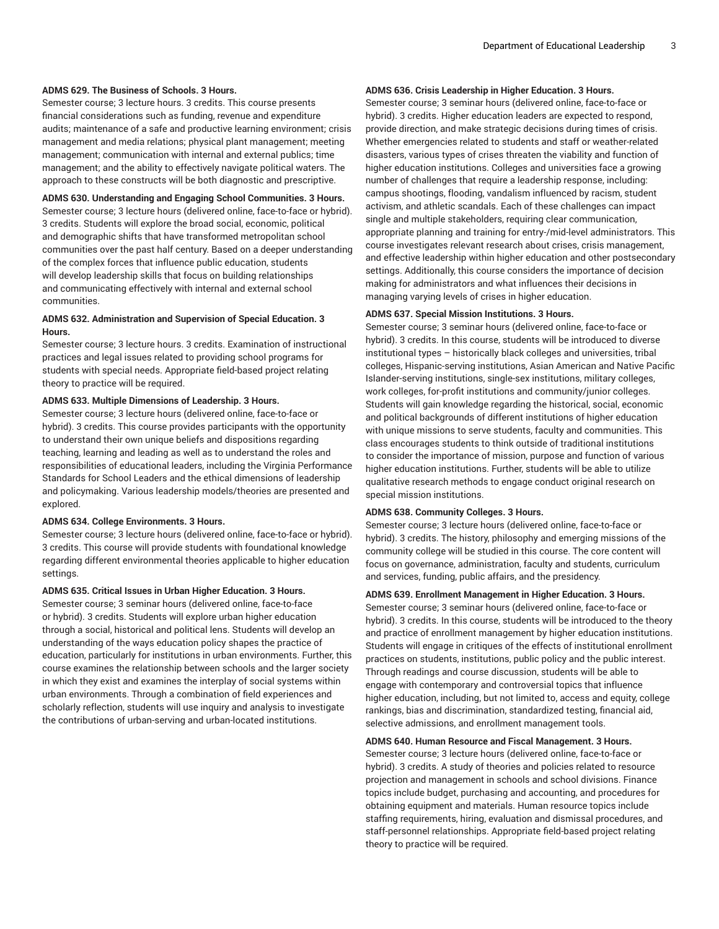#### **ADMS 629. The Business of Schools. 3 Hours.**

Semester course; 3 lecture hours. 3 credits. This course presents financial considerations such as funding, revenue and expenditure audits; maintenance of a safe and productive learning environment; crisis management and media relations; physical plant management; meeting management; communication with internal and external publics; time management; and the ability to effectively navigate political waters. The approach to these constructs will be both diagnostic and prescriptive.

#### **ADMS 630. Understanding and Engaging School Communities. 3 Hours.**

Semester course; 3 lecture hours (delivered online, face-to-face or hybrid). 3 credits. Students will explore the broad social, economic, political and demographic shifts that have transformed metropolitan school communities over the past half century. Based on a deeper understanding of the complex forces that influence public education, students will develop leadership skills that focus on building relationships and communicating effectively with internal and external school communities.

#### **ADMS 632. Administration and Supervision of Special Education. 3 Hours.**

Semester course; 3 lecture hours. 3 credits. Examination of instructional practices and legal issues related to providing school programs for students with special needs. Appropriate field-based project relating theory to practice will be required.

#### **ADMS 633. Multiple Dimensions of Leadership. 3 Hours.**

Semester course; 3 lecture hours (delivered online, face-to-face or hybrid). 3 credits. This course provides participants with the opportunity to understand their own unique beliefs and dispositions regarding teaching, learning and leading as well as to understand the roles and responsibilities of educational leaders, including the Virginia Performance Standards for School Leaders and the ethical dimensions of leadership and policymaking. Various leadership models/theories are presented and explored.

#### **ADMS 634. College Environments. 3 Hours.**

Semester course; 3 lecture hours (delivered online, face-to-face or hybrid). 3 credits. This course will provide students with foundational knowledge regarding different environmental theories applicable to higher education settings.

#### **ADMS 635. Critical Issues in Urban Higher Education. 3 Hours.**

Semester course; 3 seminar hours (delivered online, face-to-face or hybrid). 3 credits. Students will explore urban higher education through a social, historical and political lens. Students will develop an understanding of the ways education policy shapes the practice of education, particularly for institutions in urban environments. Further, this course examines the relationship between schools and the larger society in which they exist and examines the interplay of social systems within urban environments. Through a combination of field experiences and scholarly reflection, students will use inquiry and analysis to investigate the contributions of urban-serving and urban-located institutions.

# **ADMS 636. Crisis Leadership in Higher Education. 3 Hours.**

Semester course; 3 seminar hours (delivered online, face-to-face or hybrid). 3 credits. Higher education leaders are expected to respond, provide direction, and make strategic decisions during times of crisis. Whether emergencies related to students and staff or weather-related disasters, various types of crises threaten the viability and function of higher education institutions. Colleges and universities face a growing number of challenges that require a leadership response, including: campus shootings, flooding, vandalism influenced by racism, student activism, and athletic scandals. Each of these challenges can impact single and multiple stakeholders, requiring clear communication, appropriate planning and training for entry-/mid-level administrators. This course investigates relevant research about crises, crisis management, and effective leadership within higher education and other postsecondary settings. Additionally, this course considers the importance of decision making for administrators and what influences their decisions in managing varying levels of crises in higher education.

# **ADMS 637. Special Mission Institutions. 3 Hours.**

Semester course; 3 seminar hours (delivered online, face-to-face or hybrid). 3 credits. In this course, students will be introduced to diverse institutional types – historically black colleges and universities, tribal colleges, Hispanic-serving institutions, Asian American and Native Pacific Islander-serving institutions, single-sex institutions, military colleges, work colleges, for-profit institutions and community/junior colleges. Students will gain knowledge regarding the historical, social, economic and political backgrounds of different institutions of higher education with unique missions to serve students, faculty and communities. This class encourages students to think outside of traditional institutions to consider the importance of mission, purpose and function of various higher education institutions. Further, students will be able to utilize qualitative research methods to engage conduct original research on special mission institutions.

#### **ADMS 638. Community Colleges. 3 Hours.**

Semester course; 3 lecture hours (delivered online, face-to-face or hybrid). 3 credits. The history, philosophy and emerging missions of the community college will be studied in this course. The core content will focus on governance, administration, faculty and students, curriculum and services, funding, public affairs, and the presidency.

#### **ADMS 639. Enrollment Management in Higher Education. 3 Hours.**

Semester course; 3 seminar hours (delivered online, face-to-face or hybrid). 3 credits. In this course, students will be introduced to the theory and practice of enrollment management by higher education institutions. Students will engage in critiques of the effects of institutional enrollment practices on students, institutions, public policy and the public interest. Through readings and course discussion, students will be able to engage with contemporary and controversial topics that influence higher education, including, but not limited to, access and equity, college rankings, bias and discrimination, standardized testing, financial aid, selective admissions, and enrollment management tools.

# **ADMS 640. Human Resource and Fiscal Management. 3 Hours.**

Semester course; 3 lecture hours (delivered online, face-to-face or hybrid). 3 credits. A study of theories and policies related to resource projection and management in schools and school divisions. Finance topics include budget, purchasing and accounting, and procedures for obtaining equipment and materials. Human resource topics include staffing requirements, hiring, evaluation and dismissal procedures, and staff-personnel relationships. Appropriate field-based project relating theory to practice will be required.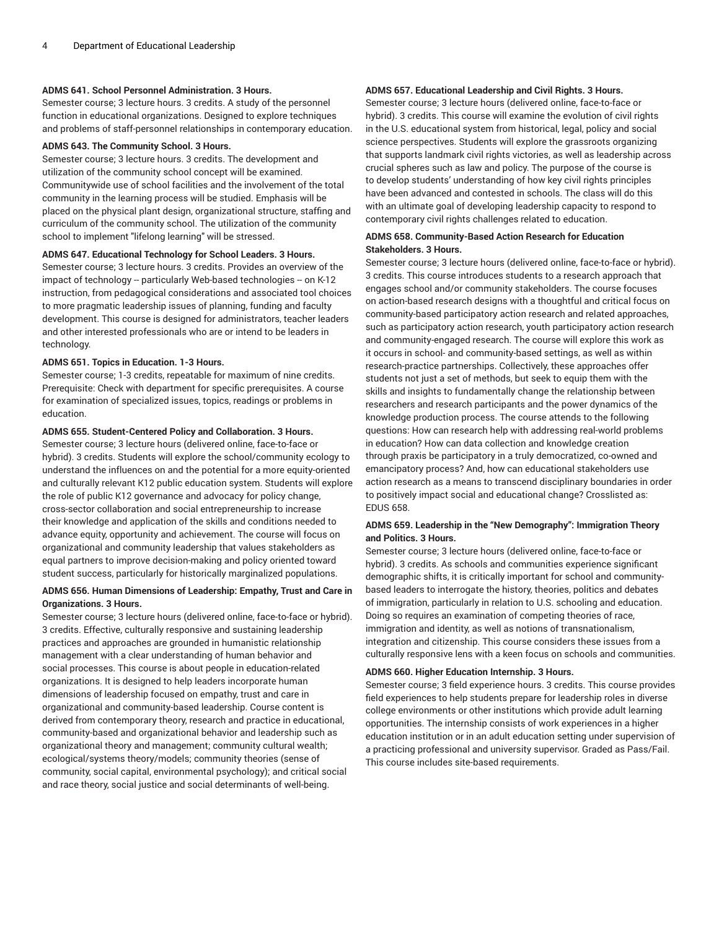#### **ADMS 641. School Personnel Administration. 3 Hours.**

Semester course; 3 lecture hours. 3 credits. A study of the personnel function in educational organizations. Designed to explore techniques and problems of staff-personnel relationships in contemporary education.

#### **ADMS 643. The Community School. 3 Hours.**

Semester course; 3 lecture hours. 3 credits. The development and utilization of the community school concept will be examined. Communitywide use of school facilities and the involvement of the total community in the learning process will be studied. Emphasis will be placed on the physical plant design, organizational structure, staffing and curriculum of the community school. The utilization of the community school to implement "lifelong learning" will be stressed.

#### **ADMS 647. Educational Technology for School Leaders. 3 Hours.**

Semester course; 3 lecture hours. 3 credits. Provides an overview of the impact of technology -- particularly Web-based technologies -- on K-12 instruction, from pedagogical considerations and associated tool choices to more pragmatic leadership issues of planning, funding and faculty development. This course is designed for administrators, teacher leaders and other interested professionals who are or intend to be leaders in technology.

# **ADMS 651. Topics in Education. 1-3 Hours.**

Semester course; 1-3 credits, repeatable for maximum of nine credits. Prerequisite: Check with department for specific prerequisites. A course for examination of specialized issues, topics, readings or problems in education.

# **ADMS 655. Student-Centered Policy and Collaboration. 3 Hours.**

Semester course; 3 lecture hours (delivered online, face-to-face or hybrid). 3 credits. Students will explore the school/community ecology to understand the influences on and the potential for a more equity-oriented and culturally relevant K12 public education system. Students will explore the role of public K12 governance and advocacy for policy change, cross-sector collaboration and social entrepreneurship to increase their knowledge and application of the skills and conditions needed to advance equity, opportunity and achievement. The course will focus on organizational and community leadership that values stakeholders as equal partners to improve decision-making and policy oriented toward student success, particularly for historically marginalized populations.

# **ADMS 656. Human Dimensions of Leadership: Empathy, Trust and Care in Organizations. 3 Hours.**

Semester course; 3 lecture hours (delivered online, face-to-face or hybrid). 3 credits. Effective, culturally responsive and sustaining leadership practices and approaches are grounded in humanistic relationship management with a clear understanding of human behavior and social processes. This course is about people in education-related organizations. It is designed to help leaders incorporate human dimensions of leadership focused on empathy, trust and care in organizational and community-based leadership. Course content is derived from contemporary theory, research and practice in educational, community-based and organizational behavior and leadership such as organizational theory and management; community cultural wealth; ecological/systems theory/models; community theories (sense of community, social capital, environmental psychology); and critical social and race theory, social justice and social determinants of well-being.

# **ADMS 657. Educational Leadership and Civil Rights. 3 Hours.**

Semester course; 3 lecture hours (delivered online, face-to-face or hybrid). 3 credits. This course will examine the evolution of civil rights in the U.S. educational system from historical, legal, policy and social science perspectives. Students will explore the grassroots organizing that supports landmark civil rights victories, as well as leadership across crucial spheres such as law and policy. The purpose of the course is to develop students' understanding of how key civil rights principles have been advanced and contested in schools. The class will do this with an ultimate goal of developing leadership capacity to respond to contemporary civil rights challenges related to education.

#### **ADMS 658. Community-Based Action Research for Education Stakeholders. 3 Hours.**

Semester course; 3 lecture hours (delivered online, face-to-face or hybrid). 3 credits. This course introduces students to a research approach that engages school and/or community stakeholders. The course focuses on action-based research designs with a thoughtful and critical focus on community-based participatory action research and related approaches, such as participatory action research, youth participatory action research and community-engaged research. The course will explore this work as it occurs in school- and community-based settings, as well as within research-practice partnerships. Collectively, these approaches offer students not just a set of methods, but seek to equip them with the skills and insights to fundamentally change the relationship between researchers and research participants and the power dynamics of the knowledge production process. The course attends to the following questions: How can research help with addressing real-world problems in education? How can data collection and knowledge creation through praxis be participatory in a truly democratized, co-owned and emancipatory process? And, how can educational stakeholders use action research as a means to transcend disciplinary boundaries in order to positively impact social and educational change? Crosslisted as: EDUS 658.

#### **ADMS 659. Leadership in the "New Demography": Immigration Theory and Politics. 3 Hours.**

Semester course; 3 lecture hours (delivered online, face-to-face or hybrid). 3 credits. As schools and communities experience significant demographic shifts, it is critically important for school and communitybased leaders to interrogate the history, theories, politics and debates of immigration, particularly in relation to U.S. schooling and education. Doing so requires an examination of competing theories of race, immigration and identity, as well as notions of transnationalism, integration and citizenship. This course considers these issues from a culturally responsive lens with a keen focus on schools and communities.

# **ADMS 660. Higher Education Internship. 3 Hours.**

Semester course; 3 field experience hours. 3 credits. This course provides field experiences to help students prepare for leadership roles in diverse college environments or other institutions which provide adult learning opportunities. The internship consists of work experiences in a higher education institution or in an adult education setting under supervision of a practicing professional and university supervisor. Graded as Pass/Fail. This course includes site-based requirements.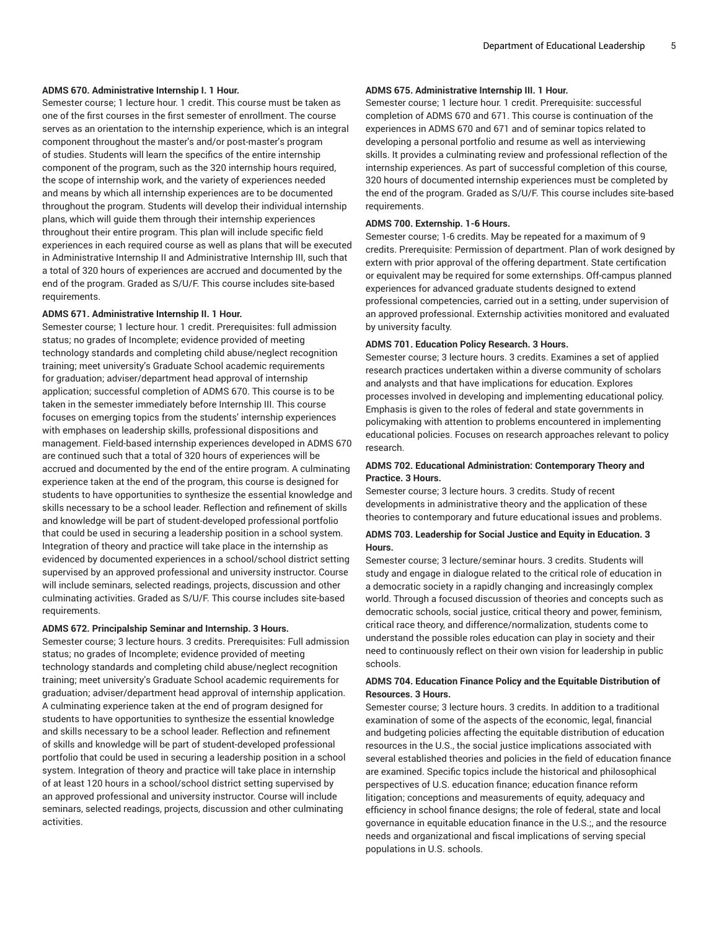#### **ADMS 670. Administrative Internship I. 1 Hour.**

Semester course; 1 lecture hour. 1 credit. This course must be taken as one of the first courses in the first semester of enrollment. The course serves as an orientation to the internship experience, which is an integral component throughout the master's and/or post-master's program of studies. Students will learn the specifics of the entire internship component of the program, such as the 320 internship hours required, the scope of internship work, and the variety of experiences needed and means by which all internship experiences are to be documented throughout the program. Students will develop their individual internship plans, which will guide them through their internship experiences throughout their entire program. This plan will include specific field experiences in each required course as well as plans that will be executed in Administrative Internship II and Administrative Internship III, such that a total of 320 hours of experiences are accrued and documented by the end of the program. Graded as S/U/F. This course includes site-based requirements.

# **ADMS 671. Administrative Internship II. 1 Hour.**

Semester course; 1 lecture hour. 1 credit. Prerequisites: full admission status; no grades of Incomplete; evidence provided of meeting technology standards and completing child abuse/neglect recognition training; meet university's Graduate School academic requirements for graduation; adviser/department head approval of internship application; successful completion of ADMS 670. This course is to be taken in the semester immediately before Internship III. This course focuses on emerging topics from the students' internship experiences with emphases on leadership skills, professional dispositions and management. Field-based internship experiences developed in ADMS 670 are continued such that a total of 320 hours of experiences will be accrued and documented by the end of the entire program. A culminating experience taken at the end of the program, this course is designed for students to have opportunities to synthesize the essential knowledge and skills necessary to be a school leader. Reflection and refinement of skills and knowledge will be part of student-developed professional portfolio that could be used in securing a leadership position in a school system. Integration of theory and practice will take place in the internship as evidenced by documented experiences in a school/school district setting supervised by an approved professional and university instructor. Course will include seminars, selected readings, projects, discussion and other culminating activities. Graded as S/U/F. This course includes site-based requirements.

#### **ADMS 672. Principalship Seminar and Internship. 3 Hours.**

Semester course; 3 lecture hours. 3 credits. Prerequisites: Full admission status; no grades of Incomplete; evidence provided of meeting technology standards and completing child abuse/neglect recognition training; meet university's Graduate School academic requirements for graduation; adviser/department head approval of internship application. A culminating experience taken at the end of program designed for students to have opportunities to synthesize the essential knowledge and skills necessary to be a school leader. Reflection and refinement of skills and knowledge will be part of student-developed professional portfolio that could be used in securing a leadership position in a school system. Integration of theory and practice will take place in internship of at least 120 hours in a school/school district setting supervised by an approved professional and university instructor. Course will include seminars, selected readings, projects, discussion and other culminating activities.

#### **ADMS 675. Administrative Internship III. 1 Hour.**

Semester course; 1 lecture hour. 1 credit. Prerequisite: successful completion of ADMS 670 and 671. This course is continuation of the experiences in ADMS 670 and 671 and of seminar topics related to developing a personal portfolio and resume as well as interviewing skills. It provides a culminating review and professional reflection of the internship experiences. As part of successful completion of this course, 320 hours of documented internship experiences must be completed by the end of the program. Graded as S/U/F. This course includes site-based requirements.

#### **ADMS 700. Externship. 1-6 Hours.**

Semester course; 1-6 credits. May be repeated for a maximum of 9 credits. Prerequisite: Permission of department. Plan of work designed by extern with prior approval of the offering department. State certification or equivalent may be required for some externships. Off-campus planned experiences for advanced graduate students designed to extend professional competencies, carried out in a setting, under supervision of an approved professional. Externship activities monitored and evaluated by university faculty.

#### **ADMS 701. Education Policy Research. 3 Hours.**

Semester course; 3 lecture hours. 3 credits. Examines a set of applied research practices undertaken within a diverse community of scholars and analysts and that have implications for education. Explores processes involved in developing and implementing educational policy. Emphasis is given to the roles of federal and state governments in policymaking with attention to problems encountered in implementing educational policies. Focuses on research approaches relevant to policy research.

#### **ADMS 702. Educational Administration: Contemporary Theory and Practice. 3 Hours.**

Semester course; 3 lecture hours. 3 credits. Study of recent developments in administrative theory and the application of these theories to contemporary and future educational issues and problems.

# **ADMS 703. Leadership for Social Justice and Equity in Education. 3 Hours.**

Semester course; 3 lecture/seminar hours. 3 credits. Students will study and engage in dialogue related to the critical role of education in a democratic society in a rapidly changing and increasingly complex world. Through a focused discussion of theories and concepts such as democratic schools, social justice, critical theory and power, feminism, critical race theory, and difference/normalization, students come to understand the possible roles education can play in society and their need to continuously reflect on their own vision for leadership in public schools.

#### **ADMS 704. Education Finance Policy and the Equitable Distribution of Resources. 3 Hours.**

Semester course; 3 lecture hours. 3 credits. In addition to a traditional examination of some of the aspects of the economic, legal, financial and budgeting policies affecting the equitable distribution of education resources in the U.S., the social justice implications associated with several established theories and policies in the field of education finance are examined. Specific topics include the historical and philosophical perspectives of U.S. education finance; education finance reform litigation; conceptions and measurements of equity, adequacy and efficiency in school finance designs; the role of federal, state and local governance in equitable education finance in the U.S.;, and the resource needs and organizational and fiscal implications of serving special populations in U.S. schools.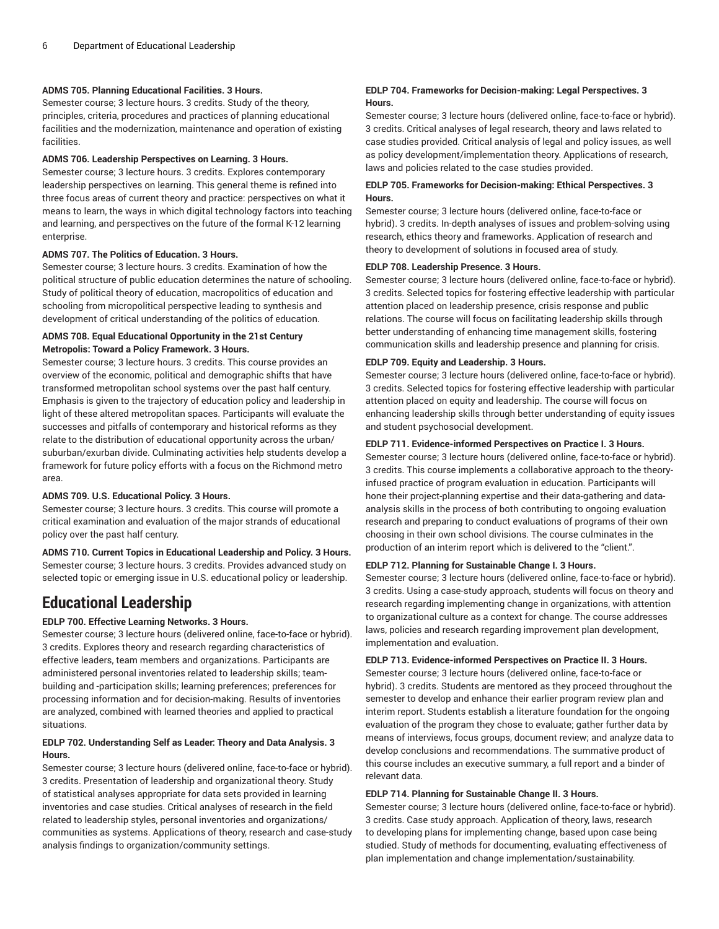# **ADMS 705. Planning Educational Facilities. 3 Hours.**

Semester course; 3 lecture hours. 3 credits. Study of the theory, principles, criteria, procedures and practices of planning educational facilities and the modernization, maintenance and operation of existing facilities.

#### **ADMS 706. Leadership Perspectives on Learning. 3 Hours.**

Semester course; 3 lecture hours. 3 credits. Explores contemporary leadership perspectives on learning. This general theme is refined into three focus areas of current theory and practice: perspectives on what it means to learn, the ways in which digital technology factors into teaching and learning, and perspectives on the future of the formal K-12 learning enterprise.

#### **ADMS 707. The Politics of Education. 3 Hours.**

Semester course; 3 lecture hours. 3 credits. Examination of how the political structure of public education determines the nature of schooling. Study of political theory of education, macropolitics of education and schooling from micropolitical perspective leading to synthesis and development of critical understanding of the politics of education.

# **ADMS 708. Equal Educational Opportunity in the 21st Century Metropolis: Toward a Policy Framework. 3 Hours.**

Semester course; 3 lecture hours. 3 credits. This course provides an overview of the economic, political and demographic shifts that have transformed metropolitan school systems over the past half century. Emphasis is given to the trajectory of education policy and leadership in light of these altered metropolitan spaces. Participants will evaluate the successes and pitfalls of contemporary and historical reforms as they relate to the distribution of educational opportunity across the urban/ suburban/exurban divide. Culminating activities help students develop a framework for future policy efforts with a focus on the Richmond metro area.

# **ADMS 709. U.S. Educational Policy. 3 Hours.**

Semester course; 3 lecture hours. 3 credits. This course will promote a critical examination and evaluation of the major strands of educational policy over the past half century.

**ADMS 710. Current Topics in Educational Leadership and Policy. 3 Hours.** Semester course; 3 lecture hours. 3 credits. Provides advanced study on selected topic or emerging issue in U.S. educational policy or leadership.

# <span id="page-5-0"></span>**Educational Leadership**

# **EDLP 700. Effective Learning Networks. 3 Hours.**

Semester course; 3 lecture hours (delivered online, face-to-face or hybrid). 3 credits. Explores theory and research regarding characteristics of effective leaders, team members and organizations. Participants are administered personal inventories related to leadership skills; teambuilding and -participation skills; learning preferences; preferences for processing information and for decision-making. Results of inventories are analyzed, combined with learned theories and applied to practical situations.

## **EDLP 702. Understanding Self as Leader: Theory and Data Analysis. 3 Hours.**

Semester course; 3 lecture hours (delivered online, face-to-face or hybrid). 3 credits. Presentation of leadership and organizational theory. Study of statistical analyses appropriate for data sets provided in learning inventories and case studies. Critical analyses of research in the field related to leadership styles, personal inventories and organizations/ communities as systems. Applications of theory, research and case-study analysis findings to organization/community settings.

# **EDLP 704. Frameworks for Decision-making: Legal Perspectives. 3 Hours.**

Semester course; 3 lecture hours (delivered online, face-to-face or hybrid). 3 credits. Critical analyses of legal research, theory and laws related to case studies provided. Critical analysis of legal and policy issues, as well as policy development/implementation theory. Applications of research, laws and policies related to the case studies provided.

# **EDLP 705. Frameworks for Decision-making: Ethical Perspectives. 3 Hours.**

Semester course; 3 lecture hours (delivered online, face-to-face or hybrid). 3 credits. In-depth analyses of issues and problem-solving using research, ethics theory and frameworks. Application of research and theory to development of solutions in focused area of study.

#### **EDLP 708. Leadership Presence. 3 Hours.**

Semester course; 3 lecture hours (delivered online, face-to-face or hybrid). 3 credits. Selected topics for fostering effective leadership with particular attention placed on leadership presence, crisis response and public relations. The course will focus on facilitating leadership skills through better understanding of enhancing time management skills, fostering communication skills and leadership presence and planning for crisis.

#### **EDLP 709. Equity and Leadership. 3 Hours.**

Semester course; 3 lecture hours (delivered online, face-to-face or hybrid). 3 credits. Selected topics for fostering effective leadership with particular attention placed on equity and leadership. The course will focus on enhancing leadership skills through better understanding of equity issues and student psychosocial development.

#### **EDLP 711. Evidence-informed Perspectives on Practice I. 3 Hours.**

Semester course; 3 lecture hours (delivered online, face-to-face or hybrid). 3 credits. This course implements a collaborative approach to the theoryinfused practice of program evaluation in education. Participants will hone their project-planning expertise and their data-gathering and dataanalysis skills in the process of both contributing to ongoing evaluation research and preparing to conduct evaluations of programs of their own choosing in their own school divisions. The course culminates in the production of an interim report which is delivered to the "client.".

#### **EDLP 712. Planning for Sustainable Change I. 3 Hours.**

Semester course; 3 lecture hours (delivered online, face-to-face or hybrid). 3 credits. Using a case-study approach, students will focus on theory and research regarding implementing change in organizations, with attention to organizational culture as a context for change. The course addresses laws, policies and research regarding improvement plan development, implementation and evaluation.

**EDLP 713. Evidence-informed Perspectives on Practice II. 3 Hours.**

Semester course; 3 lecture hours (delivered online, face-to-face or hybrid). 3 credits. Students are mentored as they proceed throughout the semester to develop and enhance their earlier program review plan and interim report. Students establish a literature foundation for the ongoing evaluation of the program they chose to evaluate; gather further data by means of interviews, focus groups, document review; and analyze data to develop conclusions and recommendations. The summative product of this course includes an executive summary, a full report and a binder of relevant data.

#### **EDLP 714. Planning for Sustainable Change II. 3 Hours.**

Semester course; 3 lecture hours (delivered online, face-to-face or hybrid). 3 credits. Case study approach. Application of theory, laws, research to developing plans for implementing change, based upon case being studied. Study of methods for documenting, evaluating effectiveness of plan implementation and change implementation/sustainability.